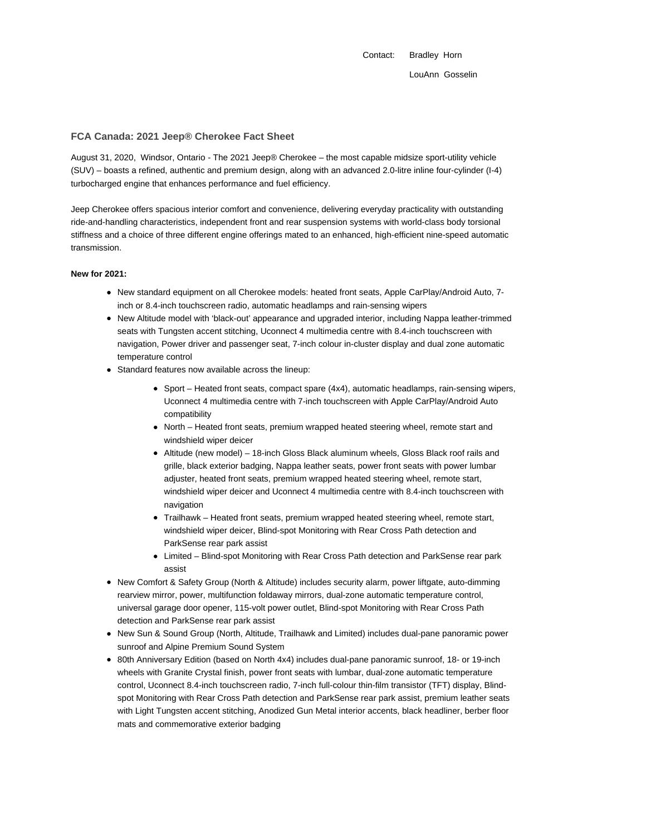Contact: Bradley Horn LouAnn Gosselin

### **FCA Canada: 2021 Jeep® Cherokee Fact Sheet**

August 31, 2020, Windsor, Ontario - The 2021 Jeep® Cherokee – the most capable midsize sport-utility vehicle (SUV) – boasts a refined, authentic and premium design, along with an advanced 2.0-litre inline four-cylinder (I-4) turbocharged engine that enhances performance and fuel efficiency.

Jeep Cherokee offers spacious interior comfort and convenience, delivering everyday practicality with outstanding ride-and-handling characteristics, independent front and rear suspension systems with world-class body torsional stiffness and a choice of three different engine offerings mated to an enhanced, high-efficient nine-speed automatic transmission.

#### **New for 2021:**

- New standard equipment on all Cherokee models: heated front seats, Apple CarPlay/Android Auto, 7inch or 8.4-inch touchscreen radio, automatic headlamps and rain-sensing wipers
- New Altitude model with 'black-out' appearance and upgraded interior, including Nappa leather-trimmed seats with Tungsten accent stitching, Uconnect 4 multimedia centre with 8.4-inch touchscreen with navigation, Power driver and passenger seat, 7-inch colour in-cluster display and dual zone automatic temperature control
- Standard features now available across the lineup:
	- Sport Heated front seats, compact spare (4x4), automatic headlamps, rain-sensing wipers, Uconnect 4 multimedia centre with 7-inch touchscreen with Apple CarPlay/Android Auto compatibility
	- North Heated front seats, premium wrapped heated steering wheel, remote start and windshield wiper deicer
	- Altitude (new model) 18-inch Gloss Black aluminum wheels, Gloss Black roof rails and grille, black exterior badging, Nappa leather seats, power front seats with power lumbar adjuster, heated front seats, premium wrapped heated steering wheel, remote start, windshield wiper deicer and Uconnect 4 multimedia centre with 8.4-inch touchscreen with navigation
	- Trailhawk Heated front seats, premium wrapped heated steering wheel, remote start, windshield wiper deicer, Blind-spot Monitoring with Rear Cross Path detection and ParkSense rear park assist
	- Limited Blind-spot Monitoring with Rear Cross Path detection and ParkSense rear park assist
- New Comfort & Safety Group (North & Altitude) includes security alarm, power liftgate, auto-dimming rearview mirror, power, multifunction foldaway mirrors, dual-zone automatic temperature control, universal garage door opener, 115-volt power outlet, Blind-spot Monitoring with Rear Cross Path detection and ParkSense rear park assist
- New Sun & Sound Group (North, Altitude, Trailhawk and Limited) includes dual-pane panoramic power sunroof and Alpine Premium Sound System
- 80th Anniversary Edition (based on North 4x4) includes dual-pane panoramic sunroof, 18- or 19-inch wheels with Granite Crystal finish, power front seats with lumbar, dual-zone automatic temperature control, Uconnect 8.4-inch touchscreen radio, 7-inch full-colour thin-film transistor (TFT) display, Blindspot Monitoring with Rear Cross Path detection and ParkSense rear park assist, premium leather seats with Light Tungsten accent stitching, Anodized Gun Metal interior accents, black headliner, berber floor mats and commemorative exterior badging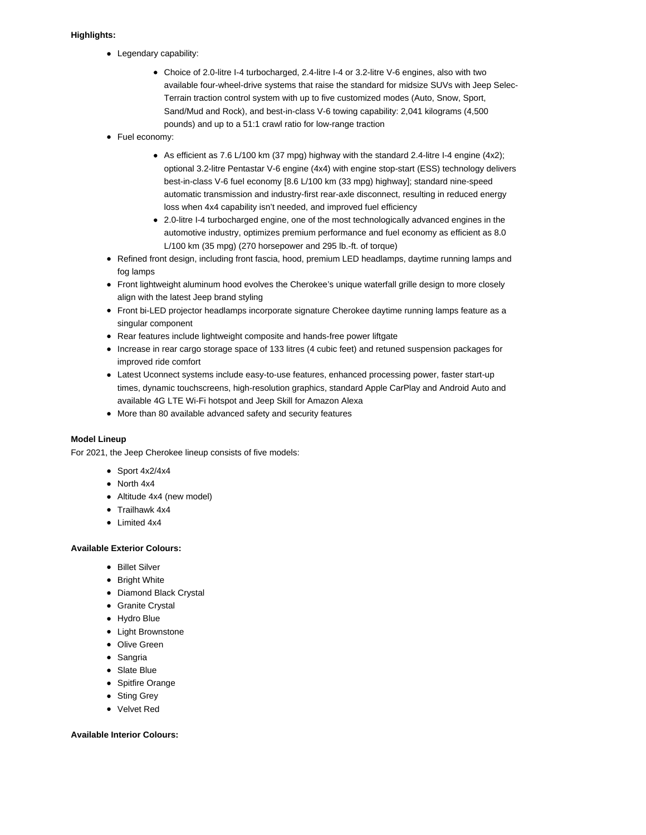# **Highlights:**

- Legendary capability:
	- Choice of 2.0-litre I-4 turbocharged, 2.4-litre I-4 or 3.2-litre V-6 engines, also with two available four-wheel-drive systems that raise the standard for midsize SUVs with Jeep Selec-Terrain traction control system with up to five customized modes (Auto, Snow, Sport, Sand/Mud and Rock), and best-in-class V-6 towing capability: 2,041 kilograms (4,500 pounds) and up to a 51:1 crawl ratio for low-range traction
- Fuel economy:
	- As efficient as 7.6 L/100 km (37 mpg) highway with the standard 2.4-litre I-4 engine  $(4x2)$ ; optional 3.2-litre Pentastar V-6 engine (4x4) with engine stop-start (ESS) technology delivers best-in-class V-6 fuel economy [8.6 L/100 km (33 mpg) highway]; standard nine-speed automatic transmission and industry-first rear-axle disconnect, resulting in reduced energy loss when 4x4 capability isn't needed, and improved fuel efficiency
	- 2.0-litre I-4 turbocharged engine, one of the most technologically advanced engines in the automotive industry, optimizes premium performance and fuel economy as efficient as 8.0 L/100 km (35 mpg) (270 horsepower and 295 lb.-ft. of torque)
- Refined front design, including front fascia, hood, premium LED headlamps, daytime running lamps and fog lamps
- Front lightweight aluminum hood evolves the Cherokee's unique waterfall grille design to more closely align with the latest Jeep brand styling
- Front bi-LED projector headlamps incorporate signature Cherokee daytime running lamps feature as a singular component
- Rear features include lightweight composite and hands-free power liftgate
- Increase in rear cargo storage space of 133 litres (4 cubic feet) and retuned suspension packages for improved ride comfort
- Latest Uconnect systems include easy-to-use features, enhanced processing power, faster start-up times, dynamic touchscreens, high-resolution graphics, standard Apple CarPlay and Android Auto and available 4G LTE Wi-Fi hotspot and Jeep Skill for Amazon Alexa
- More than 80 available advanced safety and security features

## **Model Lineup**

For 2021, the Jeep Cherokee lineup consists of five models:

- $\bullet$  Sport 4x2/4x4
- North 4x4
- Altitude 4x4 (new model)
- Trailhawk 4x4
- Limited 4x4

### **Available Exterior Colours:**

- Billet Silver
- Bright White
- Diamond Black Crystal
- Granite Crystal
- Hydro Blue
- Light Brownstone
- Olive Green
- Sangria
- Slate Blue
- Spitfire Orange
- Sting Grey
- Velvet Red

### **Available Interior Colours:**